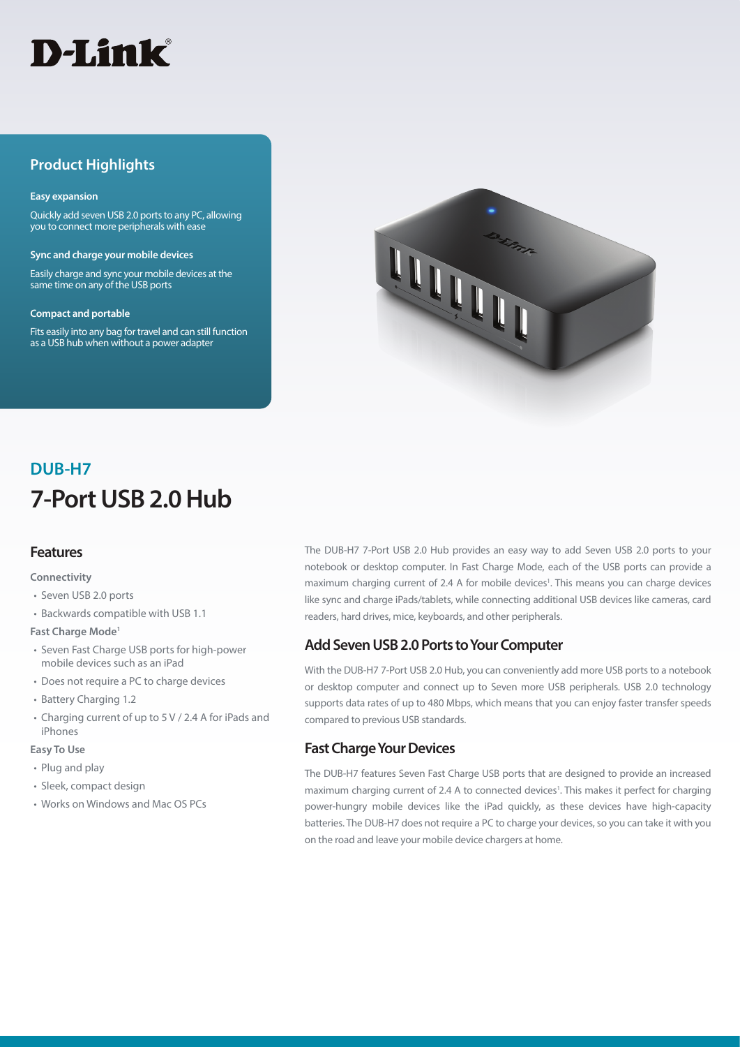

## **Product Highlights**

#### **Easy expansion**

Quickly add seven USB 2.0 ports to any PC, allowing you to connect more peripherals with ease

**Sync and charge your mobile devices**

Easily charge and sync your mobile devices at the same time on any of the USB ports

#### **Compact and portable**

Fits easily into any bag for travel and can still function as a USB hub when without a power adapter



# **7-Port USB 2.0 Hub DUB-H7**

### **Features**

#### **Connectivity**

- Seven USB 2.0 ports
- Backwards compatible with USB 1.1

#### **Fast Charge Mode1**

- Seven Fast Charge USB ports for high-power mobile devices such as an iPad
- Does not require a PC to charge devices
- Battery Charging 1.2
- Charging current of up to 5 V / 2.4 A for iPads and iPhones

#### **Easy To Use**

- Plug and play
- Sleek, compact design
- Works on Windows and Mac OS PCs

The DUB-H7 7-Port USB 2.0 Hub provides an easy way to add Seven USB 2.0 ports to your notebook or desktop computer. In Fast Charge Mode, each of the USB ports can provide a maximum charging current of 2.4 A for mobile devices<sup>1</sup>. This means you can charge devices like sync and charge iPads/tablets, while connecting additional USB devices like cameras, card readers, hard drives, mice, keyboards, and other peripherals.

## **Add Seven USB 2.0 Ports to Your Computer**

With the DUB-H7 7-Port USB 2.0 Hub, you can conveniently add more USB ports to a notebook or desktop computer and connect up to Seven more USB peripherals. USB 2.0 technology supports data rates of up to 480 Mbps, which means that you can enjoy faster transfer speeds compared to previous USB standards.

## **Fast Charge Your Devices**

The DUB-H7 features Seven Fast Charge USB ports that are designed to provide an increased maximum charging current of 2.4 A to connected devices<sup>1</sup>. This makes it perfect for charging power-hungry mobile devices like the iPad quickly, as these devices have high-capacity batteries. The DUB-H7 does not require a PC to charge your devices, so you can take it with you on the road and leave your mobile device chargers at home.